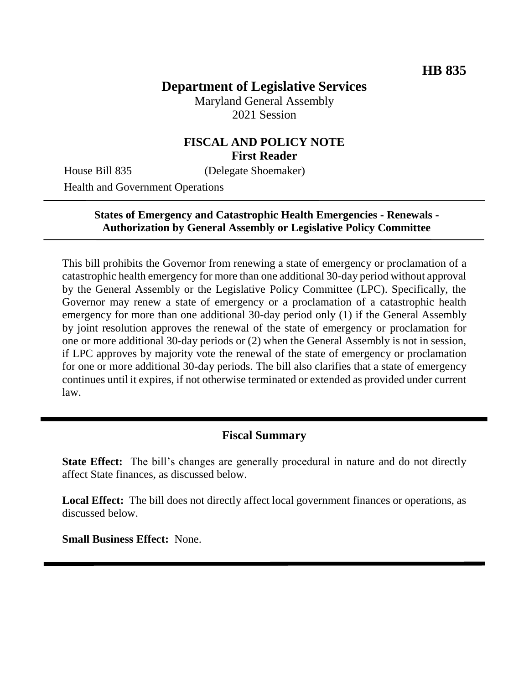# **Department of Legislative Services**

Maryland General Assembly 2021 Session

### **FISCAL AND POLICY NOTE First Reader**

House Bill 835 (Delegate Shoemaker)

Health and Government Operations

### **States of Emergency and Catastrophic Health Emergencies - Renewals - Authorization by General Assembly or Legislative Policy Committee**

This bill prohibits the Governor from renewing a state of emergency or proclamation of a catastrophic health emergency for more than one additional 30-day period without approval by the General Assembly or the Legislative Policy Committee (LPC). Specifically, the Governor may renew a state of emergency or a proclamation of a catastrophic health emergency for more than one additional 30-day period only (1) if the General Assembly by joint resolution approves the renewal of the state of emergency or proclamation for one or more additional 30-day periods or (2) when the General Assembly is not in session, if LPC approves by majority vote the renewal of the state of emergency or proclamation for one or more additional 30-day periods. The bill also clarifies that a state of emergency continues until it expires, if not otherwise terminated or extended as provided under current law.

### **Fiscal Summary**

**State Effect:** The bill's changes are generally procedural in nature and do not directly affect State finances, as discussed below.

**Local Effect:** The bill does not directly affect local government finances or operations, as discussed below.

**Small Business Effect:** None.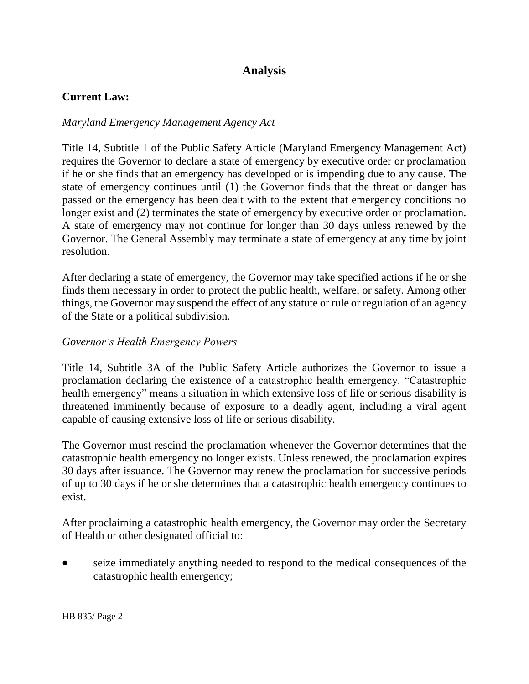# **Analysis**

### **Current Law:**

#### *Maryland Emergency Management Agency Act*

Title 14, Subtitle 1 of the Public Safety Article (Maryland Emergency Management Act) requires the Governor to declare a state of emergency by executive order or proclamation if he or she finds that an emergency has developed or is impending due to any cause. The state of emergency continues until (1) the Governor finds that the threat or danger has passed or the emergency has been dealt with to the extent that emergency conditions no longer exist and (2) terminates the state of emergency by executive order or proclamation. A state of emergency may not continue for longer than 30 days unless renewed by the Governor. The General Assembly may terminate a state of emergency at any time by joint resolution.

After declaring a state of emergency, the Governor may take specified actions if he or she finds them necessary in order to protect the public health, welfare, or safety. Among other things, the Governor may suspend the effect of any statute or rule or regulation of an agency of the State or a political subdivision.

#### *Governor's Health Emergency Powers*

Title 14, Subtitle 3A of the Public Safety Article authorizes the Governor to issue a proclamation declaring the existence of a catastrophic health emergency. "Catastrophic health emergency" means a situation in which extensive loss of life or serious disability is threatened imminently because of exposure to a deadly agent, including a viral agent capable of causing extensive loss of life or serious disability.

The Governor must rescind the proclamation whenever the Governor determines that the catastrophic health emergency no longer exists. Unless renewed, the proclamation expires 30 days after issuance. The Governor may renew the proclamation for successive periods of up to 30 days if he or she determines that a catastrophic health emergency continues to exist.

After proclaiming a catastrophic health emergency, the Governor may order the Secretary of Health or other designated official to:

 seize immediately anything needed to respond to the medical consequences of the catastrophic health emergency;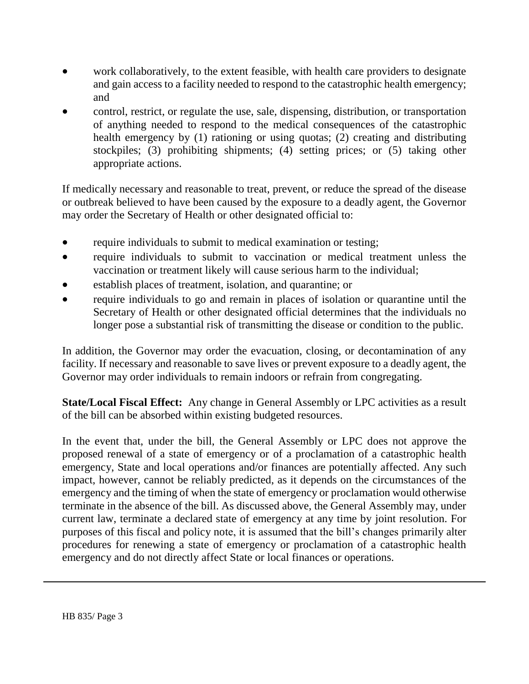- work collaboratively, to the extent feasible, with health care providers to designate and gain access to a facility needed to respond to the catastrophic health emergency; and
- control, restrict, or regulate the use, sale, dispensing, distribution, or transportation of anything needed to respond to the medical consequences of the catastrophic health emergency by (1) rationing or using quotas; (2) creating and distributing stockpiles; (3) prohibiting shipments; (4) setting prices; or (5) taking other appropriate actions.

If medically necessary and reasonable to treat, prevent, or reduce the spread of the disease or outbreak believed to have been caused by the exposure to a deadly agent, the Governor may order the Secretary of Health or other designated official to:

- require individuals to submit to medical examination or testing;
- require individuals to submit to vaccination or medical treatment unless the vaccination or treatment likely will cause serious harm to the individual;
- establish places of treatment, isolation, and quarantine; or
- require individuals to go and remain in places of isolation or quarantine until the Secretary of Health or other designated official determines that the individuals no longer pose a substantial risk of transmitting the disease or condition to the public.

In addition, the Governor may order the evacuation, closing, or decontamination of any facility. If necessary and reasonable to save lives or prevent exposure to a deadly agent, the Governor may order individuals to remain indoors or refrain from congregating.

**State/Local Fiscal Effect:** Any change in General Assembly or LPC activities as a result of the bill can be absorbed within existing budgeted resources.

In the event that, under the bill, the General Assembly or LPC does not approve the proposed renewal of a state of emergency or of a proclamation of a catastrophic health emergency, State and local operations and/or finances are potentially affected. Any such impact, however, cannot be reliably predicted, as it depends on the circumstances of the emergency and the timing of when the state of emergency or proclamation would otherwise terminate in the absence of the bill. As discussed above, the General Assembly may, under current law, terminate a declared state of emergency at any time by joint resolution. For purposes of this fiscal and policy note, it is assumed that the bill's changes primarily alter procedures for renewing a state of emergency or proclamation of a catastrophic health emergency and do not directly affect State or local finances or operations.